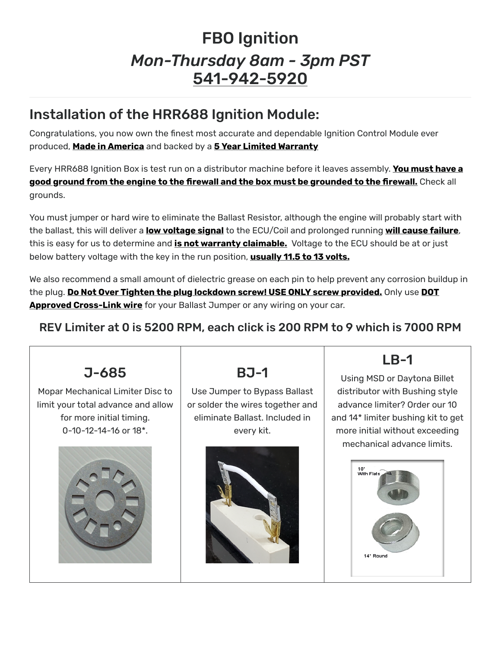## FBO Ignition *Mon-Thursday 8am - 3pm PST* 541-942-5920

## Installation of the HRR688 Ignition Module:

Congratulations, you now own the finest most accurate and dependable Ignition Control Module ever produced, **Made in America** and backed by a **5 Year Limited Warranty**

Every HRR688 Ignition Box is test run on a distributor machine before it leaves assembly. **You must have a good ground from the engine to the �rewall and the box must be grounded to the �rewall.** Check all grounds.

You must jumper or hard wire to eliminate the Ballast Resistor, although the engine will probably start with the ballast, this will deliver a **low voltage signal** to the ECU/Coil and prolonged running **will cause failure**, this is easy for us to determine and **is not warranty claimable.** Voltage to the ECU should be at or just below battery voltage with the key in the run position, **usually 11.5 to 13 volts.**

We also recommend a small amount of dielectric grease on each pin to help prevent any corrosion buildup in the plug. **Do Not Over Tighten the plug lockdown screw! USE ONLY screw provided.** Only use **DOT Approved Cross-Link wire** for your Ballast Jumper or any wiring on your car.

## REV Limiter at 0 is 5200 RPM, each click is 200 RPM to 9 which is 7000 RPM



Mopar Mechanical Limiter Disc to limit your total advance and allow for more initial timing. 0-10-12-14-16 or 18\*.



BJ-1

Use Jumper to Bypass Ballast or solder the wires together and eliminate Ballast. Included in every kit.



## LB-1

Using MSD or Daytona Billet distributor with Bushing style advance limiter? Order our 10 and 14\* limiter bushing kit to get more initial without exceeding mechanical advance limits.